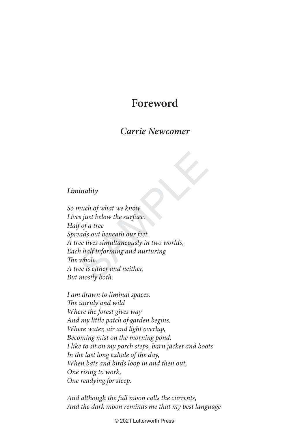## **Foreword**

## **Carrie Newcomer**

## **Liminality**

inality<br>
much of what we know<br>
es just below the surface.<br>
f of a tree<br>
eads out beneath our feet.<br>
ree lives simultaneously in two worlds,<br>
h half informing and nurturing<br>
whole.<br>
ree is either and neither,<br>
mostly both. So much of what we know Lives just below the surface. Half of a tree Spreads out beneath our feet. A tree lives simultaneously in two worlds, Each half informing and nurturing The whole. A tree is either and neither, But mostly both.

I am drawn to liminal spaces, The unruly and wild Where the forest gives way And my little patch of garden begins. Where water, air and light overlap, Becoming mist on the morning pond. I like to sit on my porch steps, barn jacket and boots In the last long exhale of the day, When bats and birds loop in and then out, One rising to work, One readying for sleep.

And although the full moon calls the currents, And the dark moon reminds me that my best language